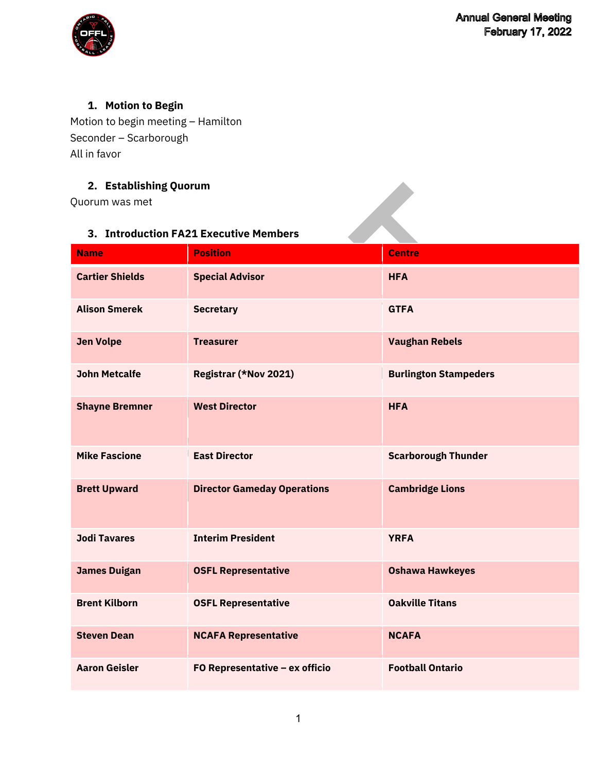

# **1. Motion to Begin**

Motion to begin meeting – Hamilton Seconder – Scarborough All in favor

### **2. Establishing Quorum**

### **3. Introduction FA21 Executive Members**

| 2. Establishing Quorum |                                        |                              |
|------------------------|----------------------------------------|------------------------------|
| Quorum was met         |                                        |                              |
|                        |                                        |                              |
|                        | 3. Introduction FA21 Executive Members |                              |
| <b>Name</b>            | <b>Position</b>                        | <b>Centre</b>                |
| <b>Cartier Shields</b> | <b>Special Advisor</b>                 | <b>HFA</b>                   |
| <b>Alison Smerek</b>   | <b>Secretary</b>                       | <b>GTFA</b>                  |
| <b>Jen Volpe</b>       | <b>Treasurer</b>                       | <b>Vaughan Rebels</b>        |
| <b>John Metcalfe</b>   | Registrar (*Nov 2021)                  | <b>Burlington Stampeders</b> |
| <b>Shayne Bremner</b>  | <b>West Director</b>                   | <b>HFA</b>                   |
| <b>Mike Fascione</b>   | <b>East Director</b>                   | <b>Scarborough Thunder</b>   |
| <b>Brett Upward</b>    | <b>Director Gameday Operations</b>     | <b>Cambridge Lions</b>       |
| <b>Jodi Tavares</b>    | <b>Interim President</b>               | <b>YRFA</b>                  |
| <b>James Duigan</b>    | <b>OSFL Representative</b>             | <b>Oshawa Hawkeyes</b>       |
| <b>Brent Kilborn</b>   | <b>OSFL Representative</b>             | <b>Oakville Titans</b>       |
| <b>Steven Dean</b>     | <b>NCAFA Representative</b>            | <b>NCAFA</b>                 |
| <b>Aaron Geisler</b>   | FO Representative - ex officio         | <b>Football Ontario</b>      |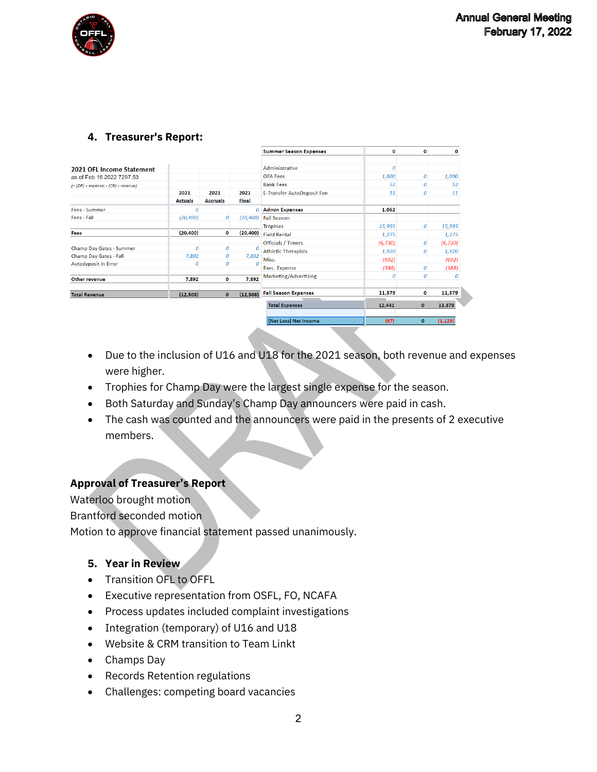

#### **4. Treasurer's Report:**

|                                         |                |                  |               | <b>Summer Season Expenses</b>     | o        | 0                | 0        |
|-----------------------------------------|----------------|------------------|---------------|-----------------------------------|----------|------------------|----------|
| 2021 OFL Income Statement               |                |                  |               | Administrative                    | 0        |                  |          |
| as of Feb 16 2022 7297.53               |                |                  |               | <b>OFA Fees</b>                   | 1,000    | $\boldsymbol{0}$ | 1,000    |
| $(+$ (DR) = expense; $-(CR)$ = revenue) |                |                  |               | <b>Bank Fees</b>                  | 52       | 0                | 52       |
|                                         | 2021           | 2021             | 2021          | <b>E-Transfer AutoDeposit Fee</b> | 11       | 0                | 11       |
|                                         | <b>Actuals</b> | <b>Accruals</b>  | <b>Final</b>  |                                   |          |                  |          |
| Fees - Summer                           | 0              |                  | $\Omega$      | <b>Admin Expenses</b>             | 1,062    |                  |          |
| Fees - Fall                             | (20, 400)      | $\boldsymbol{0}$ | (20, 400)     | <b>Fall Season</b>                |          |                  |          |
|                                         |                |                  |               | <b>Trophies</b>                   | 15,995   | $\boldsymbol{0}$ | 15,995   |
| Fees                                    | (20, 400)      | 0                | (20, 400)     | <b>Field Rental</b>               | 1,275    |                  | 1,275    |
|                                         |                |                  |               | Officials / Timers                | (6, 730) | $\boldsymbol{0}$ | (6, 730) |
| Champ Day Gates - Summer                | 0              | $\boldsymbol{0}$ | $\mathcal{O}$ | <b>Athletic Therapists</b>        | 1,920    | $\boldsymbol{0}$ | 1,920    |
| Champ Day Gates - Fall                  | 7,892          | $\boldsymbol{0}$ | 7,892         | Misc.                             | (692)    |                  | (692)    |
| <b>Autodeposit In Error</b>             | 0              | $\theta$         |               | Exec. Expense                     | (388)    | $\boldsymbol{0}$ | (388)    |
| Other revenue                           | 7,892          | 0                | 7,892         | Marketing/Advertising             | 0        | 0                | Ω        |
| <b>Total Revenue</b>                    | (12,508)       | $\bullet$        | (12, 508)     | <b>Fall Season Expenses</b>       | 11,379   | 0                | 11,379   |
|                                         |                |                  |               | <b>Total Expenses</b>             | 12,441   | $\mathbf{0}$     | 11,379   |
|                                         |                |                  |               | (Net Loss) Net Income             | (67)     | $\mathbf{0}$     | (1, 129) |

- Due to the inclusion of U16 and U18 for the 2021 season, both revenue and expenses were higher.
- Trophies for Champ Day were the largest single expense for the season.
- Both Saturday and Sunday's Champ Day announcers were paid in cash.
- The cash was counted and the announcers were paid in the presents of 2 executive members.

#### **Approval of Treasurer's Report**

Waterloo brought motion Brantford seconded motion Motion to approve financial statement passed unanimously.

#### **5. Year in Review**

- Transition OFL to OFFL
- Executive representation from OSFL, FO, NCAFA
- Process updates included complaint investigations
- Integration (temporary) of U16 and U18
- Website & CRM transition to Team Linkt
- Champs Day
- Records Retention regulations
- Challenges: competing board vacancies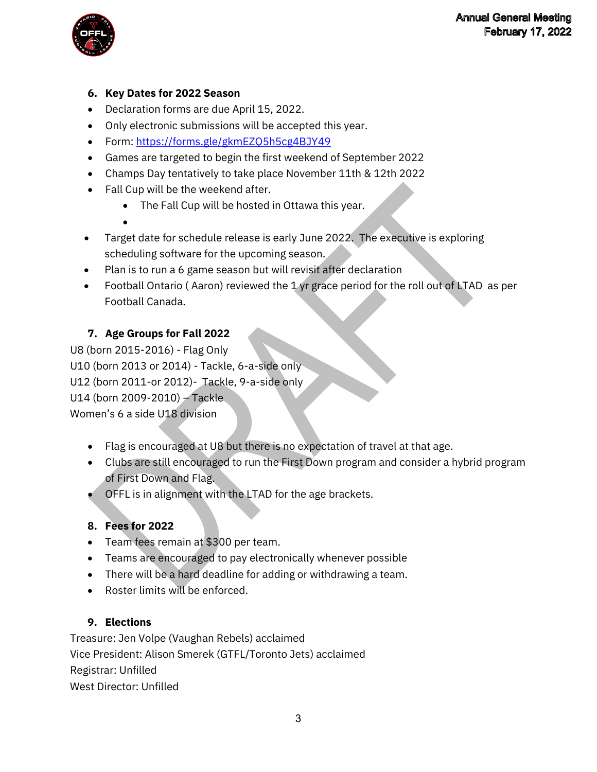

### **6. Key Dates for 2022 Season**

- Declaration forms are due April 15, 2022.
- Only electronic submissions will be accepted this year.
- Form:<https://forms.gle/gkmEZQ5h5cg4BJY49>
- Games are targeted to begin the first weekend of September 2022
- Champs Day tentatively to take place November 11th & 12th 2022
- Fall Cup will be the weekend after.
	- The Fall Cup will be hosted in Ottawa this year.
	- •
- Target date for schedule release is early June 2022. The executive is exploring scheduling software for the upcoming season.
- Plan is to run a 6 game season but will revisit after declaration
- Football Ontario ( Aaron) reviewed the 1 yr grace period for the roll out of LTAD as per Football Canada.

# **7. Age Groups for Fall 2022**

U8 (born 2015-2016) - Flag Only U10 (born 2013 or 2014) - Tackle, 6-a-side only U12 (born 2011-or 2012)- Tackle, 9-a-side only U14 (born 2009-2010) – Tackle Women's 6 a side U18 division

- Flag is encouraged at U8 but there is no expectation of travel at that age.
- Clubs are still encouraged to run the First Down program and consider a hybrid program of First Down and Flag.
- OFFL is in alignment with the LTAD for the age brackets.

### **8. Fees for 2022**

- Team fees remain at \$300 per team.
- Teams are encouraged to pay electronically whenever possible
- There will be a hard deadline for adding or withdrawing a team.
- Roster limits will be enforced.

# **9. Elections**

Treasure: Jen Volpe (Vaughan Rebels) acclaimed Vice President: Alison Smerek (GTFL/Toronto Jets) acclaimed Registrar: Unfilled West Director: Unfilled